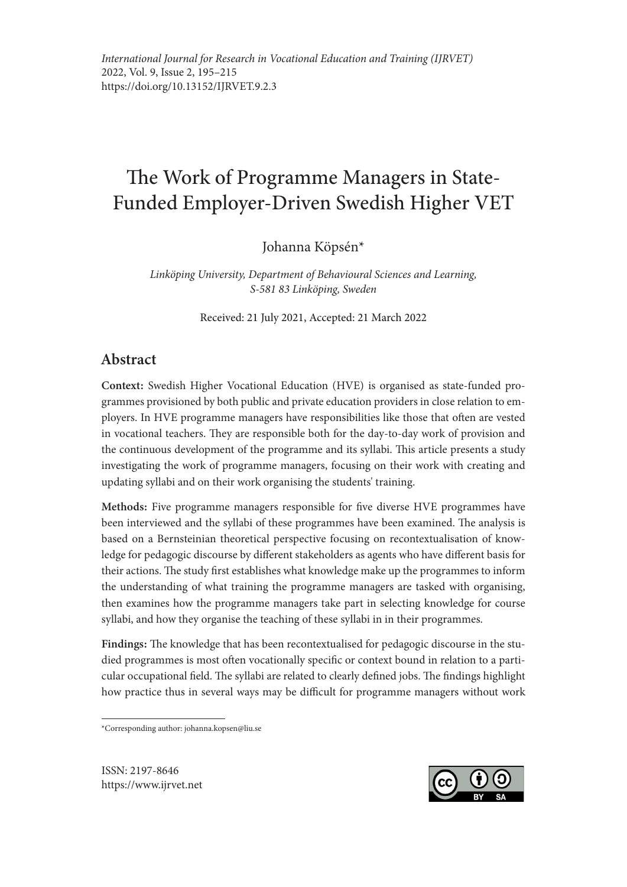# The Work of Programme Managers in State-Funded Employer-Driven Swedish Higher VET

Johanna Köpsén\*

*Linköping University, Department of Behavioural Sciences and Learning, S-581 83 Linköping, Sweden*

Received: 21 July 2021, Accepted: 21 March 2022

# Abstract

Context: Swedish Higher Vocational Education (HVE) is organised as state-funded programmes provisioned by both public and private education providers in close relation to employers. In HVE programme managers have responsibilities like those that often are vested in vocational teachers. They are responsible both for the day-to-day work of provision and the continuous development of the programme and its syllabi. This article presents a study investigating the work of programme managers, focusing on their work with creating and updating syllabi and on their work organising the students' training.

Methods: Five programme managers responsible for five diverse HVE programmes have been interviewed and the syllabi of these programmes have been examined. The analysis is based on a Bernsteinian theoretical perspective focusing on recontextualisation of knowledge for pedagogic discourse by different stakeholders as agents who have different basis for their actions. The study first establishes what knowledge make up the programmes to inform the understanding of what training the programme managers are tasked with organising, then examines how the programme managers take part in selecting knowledge for course syllabi, and how they organise the teaching of these syllabi in in their programmes.

Findings: The knowledge that has been recontextualised for pedagogic discourse in the studied programmes is most often vocationally specific or context bound in relation to a particular occupational field. The syllabi are related to clearly defined jobs. The findings highlight how practice thus in several ways may be difficult for programme managers without work

\*Corresponding author: johanna.kopsen@liu.se

ISSN: 2197-8646 https://www.ijrvet.net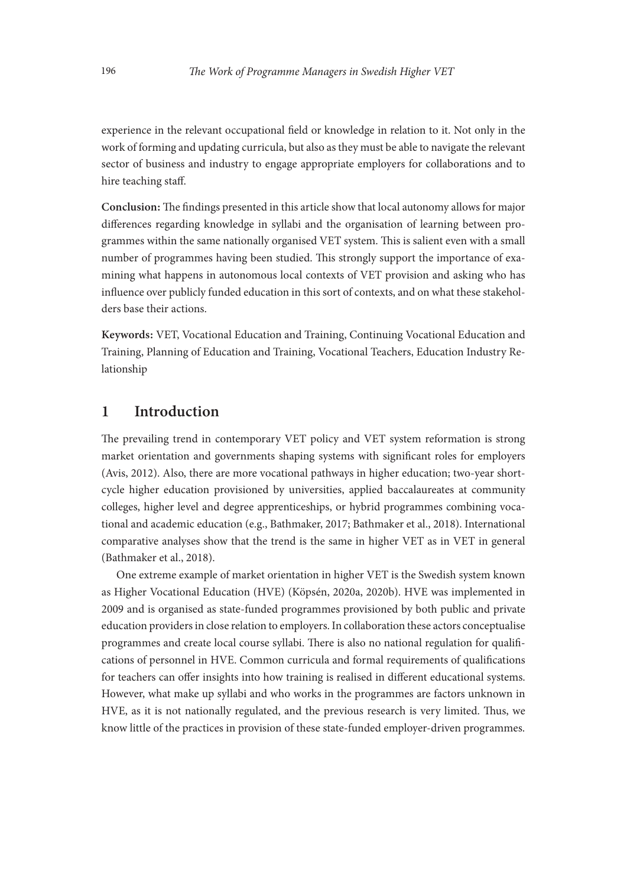experience in the relevant occupational field or knowledge in relation to it. Not only in the work of forming and updating curricula, but also as they must be able to navigate the relevant sector of business and industry to engage appropriate employers for collaborations and to hire teaching staff.

Conclusion: The findings presented in this article show that local autonomy allows for major differences regarding knowledge in syllabi and the organisation of learning between programmes within the same nationally organised VET system. This is salient even with a small number of programmes having been studied. This strongly support the importance of examining what happens in autonomous local contexts of VET provision and asking who has influence over publicly funded education in this sort of contexts, and on what these stakeholders base their actions.

Keywords: VET, Vocational Education and Training, Continuing Vocational Education and Training, Planning of Education and Training, Vocational Teachers, Education Industry Relationship

# 1 Introduction

The prevailing trend in contemporary VET policy and VET system reformation is strong market orientation and governments shaping systems with significant roles for employers (Avis, 2012). Also, there are more vocational pathways in higher education; two-year shortcycle higher education provisioned by universities, applied baccalaureates at community colleges, higher level and degree apprenticeships, or hybrid programmes combining vocational and academic education (e.g., Bathmaker, 2017; Bathmaker et al., 2018). International comparative analyses show that the trend is the same in higher VET as in VET in general (Bathmaker et al., 2018).

One extreme example of market orientation in higher VET is the Swedish system known as Higher Vocational Education (HVE) (Köpsén, 2020a, 2020b). HVE was implemented in 2009 and is organised as state-funded programmes provisioned by both public and private education providers in close relation to employers. In collaboration these actors conceptualise programmes and create local course syllabi. There is also no national regulation for qualifications of personnel in HVE. Common curricula and formal requirements of qualifications for teachers can offer insights into how training is realised in different educational systems. However, what make up syllabi and who works in the programmes are factors unknown in HVE, as it is not nationally regulated, and the previous research is very limited. Thus, we know little of the practices in provision of these state-funded employer-driven programmes.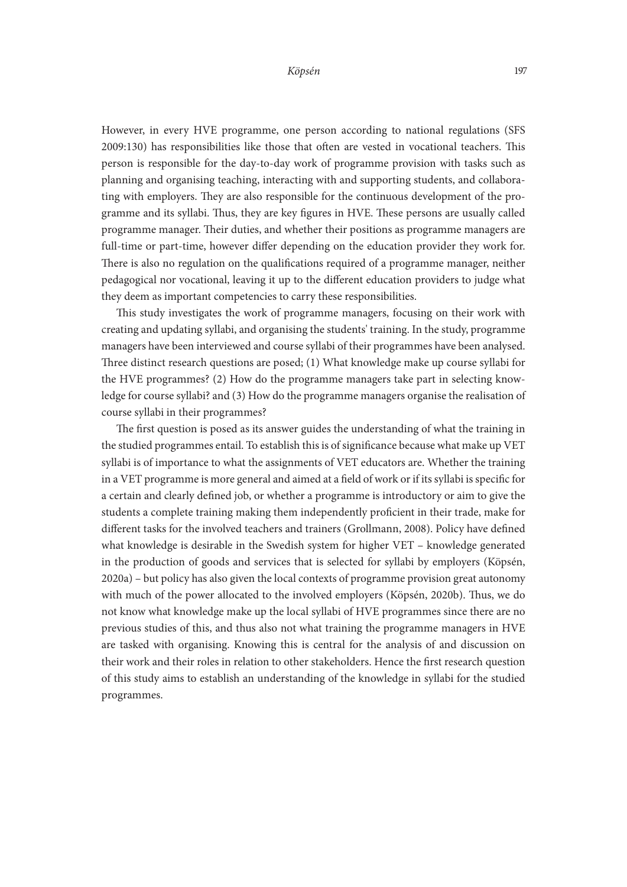However, in every HVE programme, one person according to national regulations (SFS 2009:130) has responsibilities like those that often are vested in vocational teachers. This person is responsible for the day-to-day work of programme provision with tasks such as planning and organising teaching, interacting with and supporting students, and collaborating with employers. They are also responsible for the continuous development of the programme and its syllabi. Thus, they are key figures in HVE. These persons are usually called programme manager. Their duties, and whether their positions as programme managers are full-time or part-time, however differ depending on the education provider they work for. There is also no regulation on the qualifications required of a programme manager, neither pedagogical nor vocational, leaving it up to the different education providers to judge what they deem as important competencies to carry these responsibilities.

This study investigates the work of programme managers, focusing on their work with creating and updating syllabi, and organising the students' training. In the study, programme managers have been interviewed and course syllabi of their programmes have been analysed. Three distinct research questions are posed; (1) What knowledge make up course syllabi for the HVE programmes? (2) How do the programme managers take part in selecting knowledge for course syllabi? and (3) How do the programme managers organise the realisation of course syllabi in their programmes?

The first question is posed as its answer guides the understanding of what the training in the studied programmes entail. To establish this is of significance because what make up VET syllabi is of importance to what the assignments of VET educators are. Whether the training in a VET programme is more general and aimed at a field of work or if its syllabi is specific for a certain and clearly defined job, or whether a programme is introductory or aim to give the students a complete training making them independently proficient in their trade, make for different tasks for the involved teachers and trainers (Grollmann, 2008). Policy have defined what knowledge is desirable in the Swedish system for higher VET – knowledge generated in the production of goods and services that is selected for syllabi by employers (Köpsén, 2020a) – but policy has also given the local contexts of programme provision great autonomy with much of the power allocated to the involved employers (Köpsén, 2020b). Thus, we do not know what knowledge make up the local syllabi of HVE programmes since there are no previous studies of this, and thus also not what training the programme managers in HVE are tasked with organising. Knowing this is central for the analysis of and discussion on their work and their roles in relation to other stakeholders. Hence the first research question of this study aims to establish an understanding of the knowledge in syllabi for the studied programmes.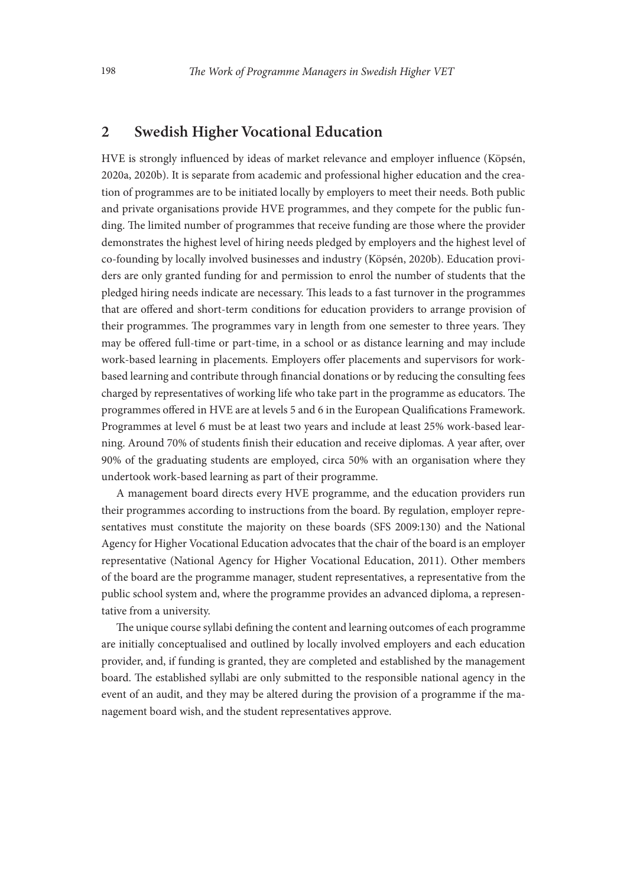# 2 Swedish Higher Vocational Education

HVE is strongly influenced by ideas of market relevance and employer influence (Köpsén, 2020a, 2020b). It is separate from academic and professional higher education and the creation of programmes are to be initiated locally by employers to meet their needs. Both public and private organisations provide HVE programmes, and they compete for the public funding. The limited number of programmes that receive funding are those where the provider demonstrates the highest level of hiring needs pledged by employers and the highest level of co-founding by locally involved businesses and industry (Köpsén, 2020b). Education providers are only granted funding for and permission to enrol the number of students that the pledged hiring needs indicate are necessary. This leads to a fast turnover in the programmes that are offered and short-term conditions for education providers to arrange provision of their programmes. The programmes vary in length from one semester to three years. They may be offered full-time or part-time, in a school or as distance learning and may include work-based learning in placements. Employers offer placements and supervisors for workbased learning and contribute through financial donations or by reducing the consulting fees charged by representatives of working life who take part in the programme as educators. The programmes offered in HVE are at levels 5 and 6 in the European Qualifications Framework. Programmes at level 6 must be at least two years and include at least 25% work-based learning. Around 70% of students finish their education and receive diplomas. A year after, over 90% of the graduating students are employed, circa 50% with an organisation where they undertook work-based learning as part of their programme.

A management board directs every HVE programme, and the education providers run their programmes according to instructions from the board. By regulation, employer representatives must constitute the majority on these boards (SFS 2009:130) and the National Agency for Higher Vocational Education advocates that the chair of the board is an employer representative (National Agency for Higher Vocational Education, 2011). Other members of the board are the programme manager, student representatives, a representative from the public school system and, where the programme provides an advanced diploma, a representative from a university.

The unique course syllabi defining the content and learning outcomes of each programme are initially conceptualised and outlined by locally involved employers and each education provider, and, if funding is granted, they are completed and established by the management board. The established syllabi are only submitted to the responsible national agency in the event of an audit, and they may be altered during the provision of a programme if the management board wish, and the student representatives approve.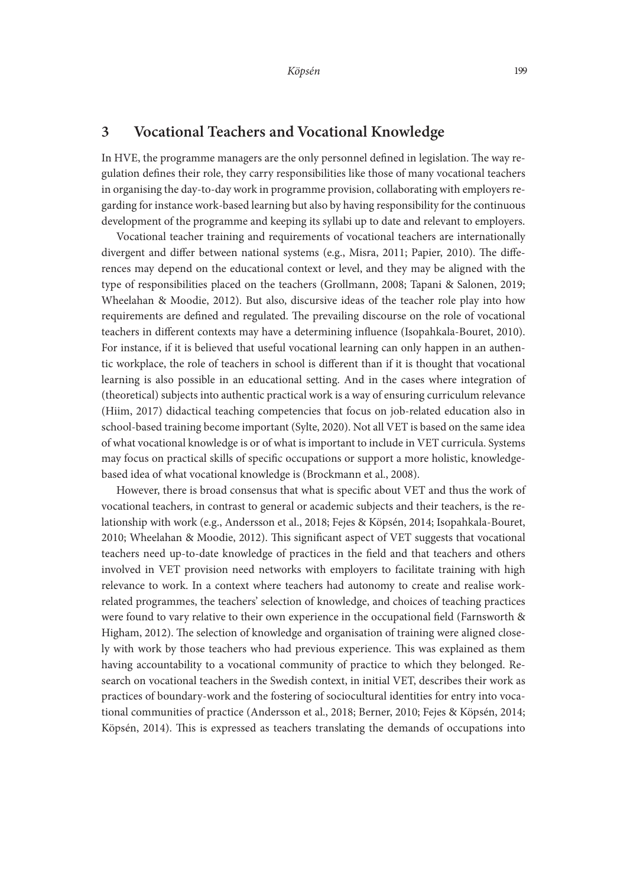# 3 Vocational Teachers and Vocational Knowledge

In HVE, the programme managers are the only personnel defined in legislation. The way regulation defines their role, they carry responsibilities like those of many vocational teachers in organising the day-to-day work in programme provision, collaborating with employers regarding for instance work-based learning but also by having responsibility for the continuous development of the programme and keeping its syllabi up to date and relevant to employers.

Vocational teacher training and requirements of vocational teachers are internationally divergent and differ between national systems (e.g., Misra, 2011; Papier, 2010). The differences may depend on the educational context or level, and they may be aligned with the type of responsibilities placed on the teachers (Grollmann, 2008; Tapani & Salonen, 2019; Wheelahan & Moodie, 2012). But also, discursive ideas of the teacher role play into how requirements are defined and regulated. The prevailing discourse on the role of vocational teachers in different contexts may have a determining influence (Isopahkala-Bouret, 2010). For instance, if it is believed that useful vocational learning can only happen in an authentic workplace, the role of teachers in school is different than if it is thought that vocational learning is also possible in an educational setting. And in the cases where integration of (theoretical) subjects into authentic practical work is a way of ensuring curriculum relevance (Hiim, 2017) didactical teaching competencies that focus on job-related education also in school-based training become important (Sylte, 2020). Not all VET is based on the same idea of what vocational knowledge is or of what is important to include in VET curricula. Systems may focus on practical skills of specific occupations or support a more holistic, knowledgebased idea of what vocational knowledge is (Brockmann et al., 2008).

However, there is broad consensus that what is specific about VET and thus the work of vocational teachers, in contrast to general or academic subjects and their teachers, is the relationship with work (e.g., Andersson et al., 2018; Fejes & Köpsén, 2014; Isopahkala-Bouret, 2010; Wheelahan & Moodie, 2012). This significant aspect of VET suggests that vocational teachers need up-to-date knowledge of practices in the field and that teachers and others involved in VET provision need networks with employers to facilitate training with high relevance to work. In a context where teachers had autonomy to create and realise workrelated programmes, the teachers' selection of knowledge, and choices of teaching practices were found to vary relative to their own experience in the occupational field (Farnsworth & Higham, 2012). The selection of knowledge and organisation of training were aligned closely with work by those teachers who had previous experience. This was explained as them having accountability to a vocational community of practice to which they belonged. Research on vocational teachers in the Swedish context, in initial VET, describes their work as practices of boundary-work and the fostering of sociocultural identities for entry into vocational communities of practice (Andersson et al., 2018; Berner, 2010; Fejes & Köpsén, 2014; Köpsén, 2014). This is expressed as teachers translating the demands of occupations into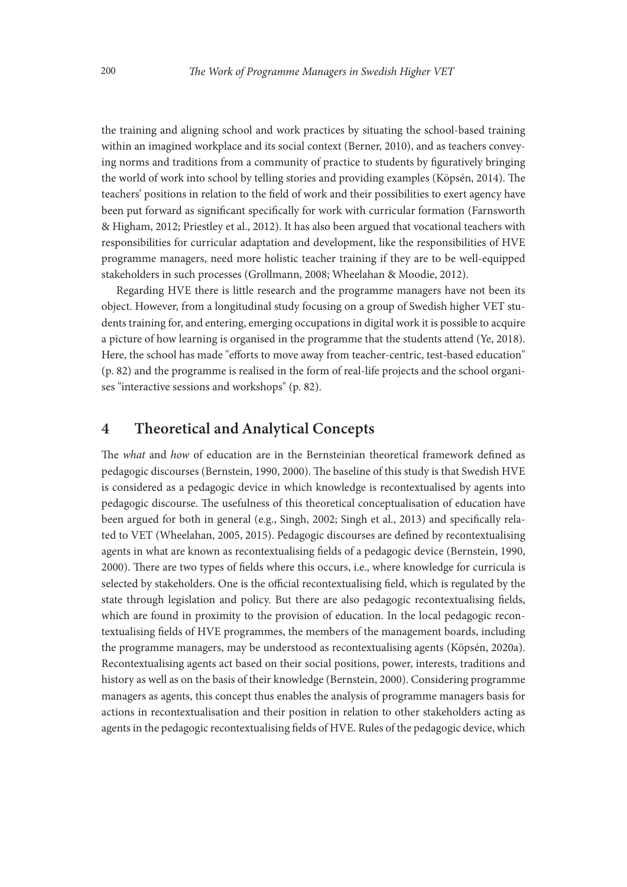the training and aligning school and work practices by situating the school-based training within an imagined workplace and its social context (Berner, 2010), and as teachers conveying norms and traditions from a community of practice to students by figuratively bringing the world of work into school by telling stories and providing examples (Köpsén, 2014). The teachers' positions in relation to the field of work and their possibilities to exert agency have been put forward as significant specifically for work with curricular formation (Farnsworth & Higham, 2012; Priestley et al., 2012). It has also been argued that vocational teachers with responsibilities for curricular adaptation and development, like the responsibilities of HVE programme managers, need more holistic teacher training if they are to be well-equipped stakeholders in such processes (Grollmann, 2008; Wheelahan & Moodie, 2012).

Regarding HVE there is little research and the programme managers have not been its object. However, from a longitudinal study focusing on a group of Swedish higher VET students training for, and entering, emerging occupations in digital work it is possible to acquire a picture of how learning is organised in the programme that the students attend (Ye, 2018). Here, the school has made "efforts to move away from teacher-centric, test-based education" (p. 82) and the programme is realised in the form of real-life projects and the school organises "interactive sessions and workshops" (p. 82).

## 4 Theoretical and Analytical Concepts

The *what* and *how* of education are in the Bernsteinian theoretical framework defined as pedagogic discourses (Bernstein, 1990, 2000). The baseline of this study is that Swedish HVE is considered as a pedagogic device in which knowledge is recontextualised by agents into pedagogic discourse. The usefulness of this theoretical conceptualisation of education have been argued for both in general (e.g., Singh, 2002; Singh et al., 2013) and specifically related to VET (Wheelahan, 2005, 2015). Pedagogic discourses are defined by recontextualising agents in what are known as recontextualising fields of a pedagogic device (Bernstein, 1990, 2000). There are two types of fields where this occurs, i.e., where knowledge for curricula is selected by stakeholders. One is the official recontextualising field, which is regulated by the state through legislation and policy. But there are also pedagogic recontextualising fields, which are found in proximity to the provision of education. In the local pedagogic recontextualising fields of HVE programmes, the members of the management boards, including the programme managers, may be understood as recontextualising agents (Köpsén, 2020a). Recontextualising agents act based on their social positions, power, interests, traditions and history as well as on the basis of their knowledge (Bernstein, 2000). Considering programme managers as agents, this concept thus enables the analysis of programme managers basis for actions in recontextualisation and their position in relation to other stakeholders acting as agents in the pedagogic recontextualising fields of HVE. Rules of the pedagogic device, which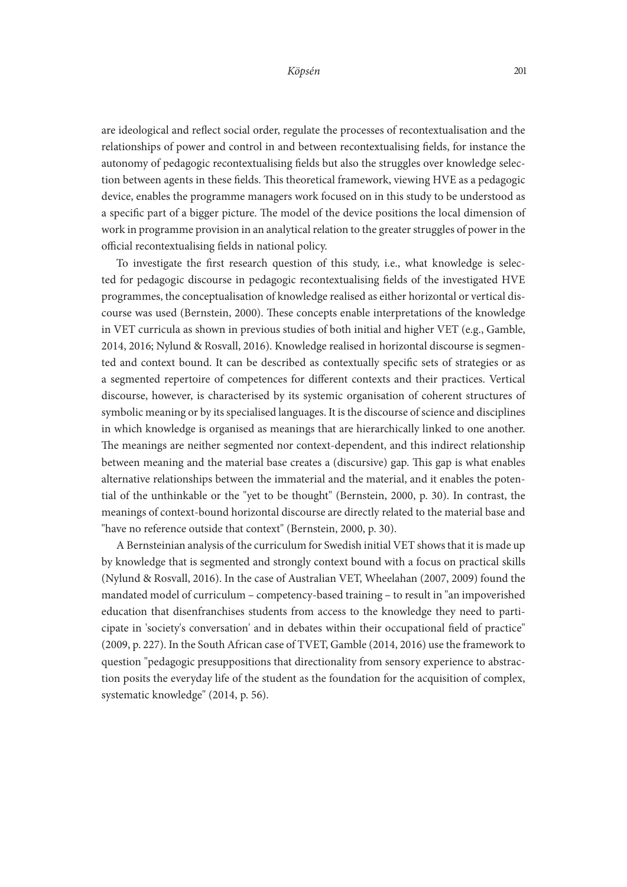are ideological and reflect social order, regulate the processes of recontextualisation and the relationships of power and control in and between recontextualising fields, for instance the autonomy of pedagogic recontextualising fields but also the struggles over knowledge selection between agents in these fields. This theoretical framework, viewing HVE as a pedagogic device, enables the programme managers work focused on in this study to be understood as a specific part of a bigger picture. The model of the device positions the local dimension of work in programme provision in an analytical relation to the greater struggles of power in the official recontextualising fields in national policy.

To investigate the first research question of this study, i.e., what knowledge is selected for pedagogic discourse in pedagogic recontextualising fields of the investigated HVE programmes, the conceptualisation of knowledge realised as either horizontal or vertical discourse was used (Bernstein, 2000). These concepts enable interpretations of the knowledge in VET curricula as shown in previous studies of both initial and higher VET (e.g., Gamble, 2014, 2016; Nylund & Rosvall, 2016). Knowledge realised in horizontal discourse is segmented and context bound. It can be described as contextually specific sets of strategies or as a segmented repertoire of competences for different contexts and their practices. Vertical discourse, however, is characterised by its systemic organisation of coherent structures of symbolic meaning or by its specialised languages. It is the discourse of science and disciplines in which knowledge is organised as meanings that are hierarchically linked to one another. The meanings are neither segmented nor context-dependent, and this indirect relationship between meaning and the material base creates a (discursive) gap. This gap is what enables alternative relationships between the immaterial and the material, and it enables the potential of the unthinkable or the "yet to be thought" (Bernstein, 2000, p. 30). In contrast, the meanings of context-bound horizontal discourse are directly related to the material base and "have no reference outside that context" (Bernstein, 2000, p. 30).

A Bernsteinian analysis of the curriculum for Swedish initial VET shows that it is made up by knowledge that is segmented and strongly context bound with a focus on practical skills (Nylund & Rosvall, 2016). In the case of Australian VET, Wheelahan (2007, 2009) found the mandated model of curriculum – competency-based training – to result in "an impoverished education that disenfranchises students from access to the knowledge they need to participate in 'society's conversation' and in debates within their occupational field of practice" (2009, p. 227). In the South African case of TVET, Gamble (2014, 2016) use the framework to question "pedagogic presuppositions that directionality from sensory experience to abstraction posits the everyday life of the student as the foundation for the acquisition of complex, systematic knowledge" (2014, p. 56).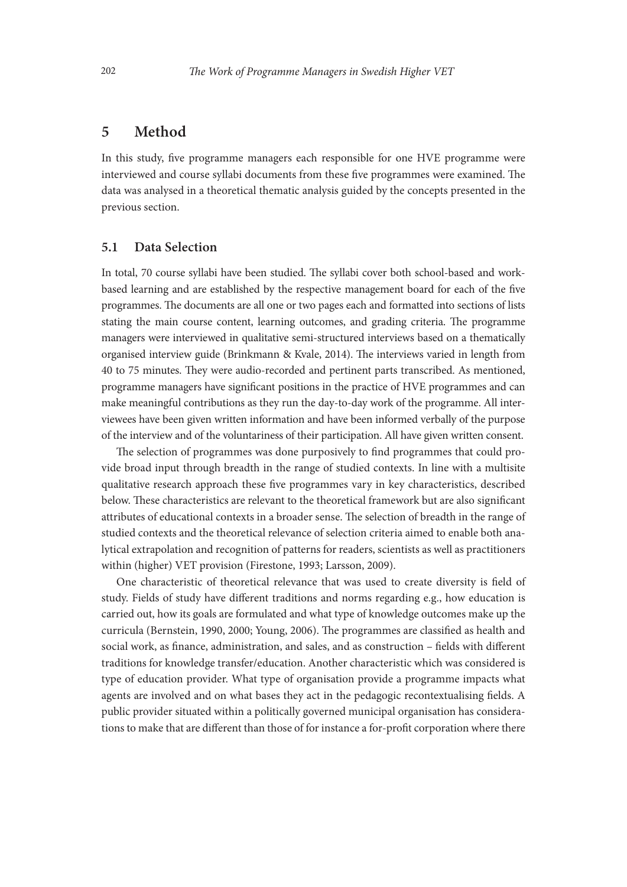# 5 Method

In this study, five programme managers each responsible for one HVE programme were interviewed and course syllabi documents from these five programmes were examined. The data was analysed in a theoretical thematic analysis guided by the concepts presented in the previous section.

## 5.1 Data Selection

In total, 70 course syllabi have been studied. The syllabi cover both school-based and workbased learning and are established by the respective management board for each of the five programmes. The documents are all one or two pages each and formatted into sections of lists stating the main course content, learning outcomes, and grading criteria. The programme managers were interviewed in qualitative semi-structured interviews based on a thematically organised interview guide (Brinkmann & Kvale, 2014). The interviews varied in length from 40 to 75 minutes. They were audio-recorded and pertinent parts transcribed. As mentioned, programme managers have significant positions in the practice of HVE programmes and can make meaningful contributions as they run the day-to-day work of the programme. All interviewees have been given written information and have been informed verbally of the purpose of the interview and of the voluntariness of their participation. All have given written consent.

The selection of programmes was done purposively to find programmes that could provide broad input through breadth in the range of studied contexts. In line with a multisite qualitative research approach these five programmes vary in key characteristics, described below. These characteristics are relevant to the theoretical framework but are also significant attributes of educational contexts in a broader sense. The selection of breadth in the range of studied contexts and the theoretical relevance of selection criteria aimed to enable both analytical extrapolation and recognition of patterns for readers, scientists as well as practitioners within (higher) VET provision (Firestone, 1993; Larsson, 2009).

One characteristic of theoretical relevance that was used to create diversity is field of study. Fields of study have different traditions and norms regarding e.g., how education is carried out, how its goals are formulated and what type of knowledge outcomes make up the curricula (Bernstein, 1990, 2000; Young, 2006). The programmes are classified as health and social work, as finance, administration, and sales, and as construction – fields with different traditions for knowledge transfer/education. Another characteristic which was considered is type of education provider. What type of organisation provide a programme impacts what agents are involved and on what bases they act in the pedagogic recontextualising fields. A public provider situated within a politically governed municipal organisation has considerations to make that are different than those of for instance a for-profit corporation where there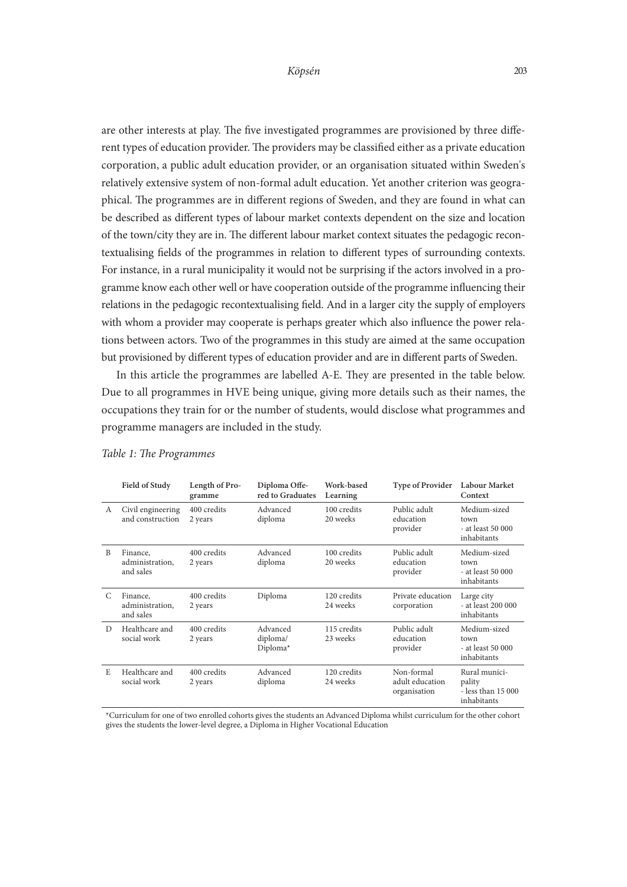are other interests at play. The five investigated programmes are provisioned by three different types of education provider. The providers may be classified either as a private education corporation, a public adult education provider, or an organisation situated within Sweden's relatively extensive system of non-formal adult education. Yet another criterion was geographical. The programmes are in different regions of Sweden, and they are found in what can be described as different types of labour market contexts dependent on the size and location of the town/city they are in. The different labour market context situates the pedagogic recontextualising fields of the programmes in relation to different types of surrounding contexts. For instance, in a rural municipality it would not be surprising if the actors involved in a programme know each other well or have cooperation outside of the programme influencing their relations in the pedagogic recontextualising field. And in a larger city the supply of employers with whom a provider may cooperate is perhaps greater which also influence the power relations between actors. Two of the programmes in this study are aimed at the same occupation but provisioned by different types of education provider and are in different parts of Sweden.

In this article the programmes are labelled A-E. They are presented in the table below. Due to all programmes in HVE being unique, giving more details such as their names, the occupations they train for or the number of students, would disclose what programmes and programme managers are included in the study.

|   | Field of Study                           | Length of Pro-<br>gramme | Diploma Offe-<br>red to Graduates | Work-based<br>Learning  | <b>Type of Provider</b>                       | <b>Labour Market</b><br>Context                              |
|---|------------------------------------------|--------------------------|-----------------------------------|-------------------------|-----------------------------------------------|--------------------------------------------------------------|
| A | Civil engineering<br>and construction    | 400 credits<br>2 years   | Advanced<br>diploma               | 100 credits<br>20 weeks | Public adult<br>education<br>provider         | Medium-sized<br>town<br>- at least 50 000<br>inhabitants     |
| B | Finance,<br>administration.<br>and sales | 400 credits<br>2 years   | Advanced<br>diploma               | 100 credits<br>20 weeks | Public adult<br>education<br>provider         | Medium-sized<br>town<br>- at least 50 000<br>inhabitants     |
| C | Finance,<br>administration.<br>and sales | 400 credits<br>2 years   | Diploma                           | 120 credits<br>24 weeks | Private education<br>corporation              | Large city<br>- at least 200 000<br>inhabitants              |
| D | Healthcare and<br>social work            | 400 credits<br>2 years   | Advanced<br>diploma/<br>Diploma*  | 115 credits<br>23 weeks | Public adult<br>education<br>provider         | Medium-sized<br>town<br>- at least 50 000<br>inhabitants     |
| E | Healthcare and<br>social work            | 400 credits<br>2 years   | Advanced<br>diploma               | 120 credits<br>24 weeks | Non-formal<br>adult education<br>organisation | Rural munici-<br>pality<br>- less than 15 000<br>inhabitants |

#### *Table 1: The Programmes*

\*Curriculum for one of two enrolled cohorts gives the students an Advanced Diploma whilst curriculum for the other cohort gives the students the lower-level degree, a Diploma in Higher Vocational Education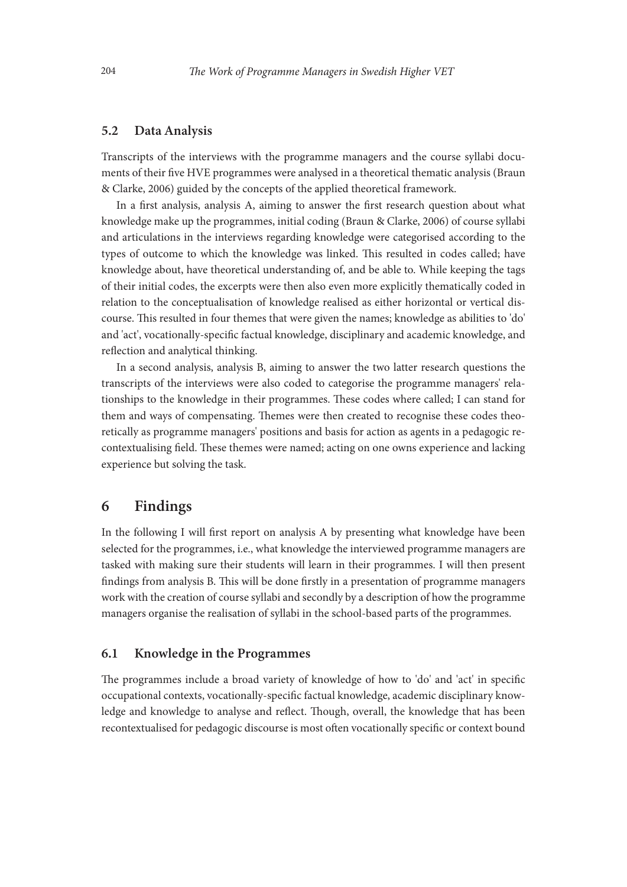#### 5.2 Data Analysis

Transcripts of the interviews with the programme managers and the course syllabi documents of their five HVE programmes were analysed in a theoretical thematic analysis (Braun & Clarke, 2006) guided by the concepts of the applied theoretical framework.

In a first analysis, analysis A, aiming to answer the first research question about what knowledge make up the programmes, initial coding (Braun & Clarke, 2006) of course syllabi and articulations in the interviews regarding knowledge were categorised according to the types of outcome to which the knowledge was linked. This resulted in codes called; have knowledge about, have theoretical understanding of, and be able to. While keeping the tags of their initial codes, the excerpts were then also even more explicitly thematically coded in relation to the conceptualisation of knowledge realised as either horizontal or vertical discourse. This resulted in four themes that were given the names; knowledge as abilities to 'do' and 'act', vocationally-specific factual knowledge, disciplinary and academic knowledge, and reflection and analytical thinking.

In a second analysis, analysis B, aiming to answer the two latter research questions the transcripts of the interviews were also coded to categorise the programme managers' relationships to the knowledge in their programmes. These codes where called; I can stand for them and ways of compensating. Themes were then created to recognise these codes theoretically as programme managers' positions and basis for action as agents in a pedagogic recontextualising field. These themes were named; acting on one owns experience and lacking experience but solving the task.

# 6 Findings

In the following I will first report on analysis A by presenting what knowledge have been selected for the programmes, i.e., what knowledge the interviewed programme managers are tasked with making sure their students will learn in their programmes. I will then present findings from analysis B. This will be done firstly in a presentation of programme managers work with the creation of course syllabi and secondly by a description of how the programme managers organise the realisation of syllabi in the school-based parts of the programmes.

## 6.1 Knowledge in the Programmes

The programmes include a broad variety of knowledge of how to 'do' and 'act' in specific occupational contexts, vocationally-specific factual knowledge, academic disciplinary knowledge and knowledge to analyse and reflect. Though, overall, the knowledge that has been recontextualised for pedagogic discourse is most often vocationally specific or context bound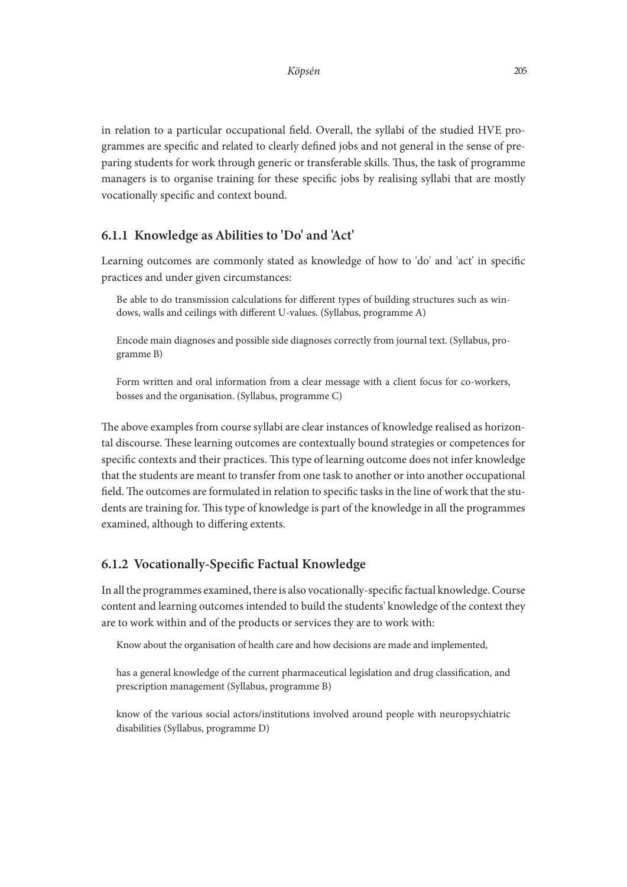in relation to a particular occupational field. Overall, the syllabi of the studied HVE programmes are specific and related to clearly defined jobs and not general in the sense of preparing students for work through generic or transferable skills. Thus, the task of programme managers is to organise training for these specific jobs by realising syllabi that are mostly vocationally specific and context bound.

## 6.1.1 Knowledge as Abilities to 'Do' and 'Act'

Learning outcomes are commonly stated as knowledge of how to 'do' and 'act' in specific practices and under given circumstances:

Be able to do transmission calculations for different types of building structures such as windows, walls and ceilings with different U-values. (Syllabus, programme A)

Encode main diagnoses and possible side diagnoses correctly from journal text. (Syllabus, programme B)

Form written and oral information from a clear message with a client focus for co-workers, bosses and the organisation. (Syllabus, programme C)

The above examples from course syllabi are clear instances of knowledge realised as horizontal discourse. These learning outcomes are contextually bound strategies or competences for specific contexts and their practices. This type of learning outcome does not infer knowledge that the students are meant to transfer from one task to another or into another occupational field. The outcomes are formulated in relation to specific tasks in the line of work that the students are training for. This type of knowledge is part of the knowledge in all the programmes examined, although to differing extents.

#### 6.1.2 Vocationally-Specific Factual Knowledge

In all the programmes examined, there is also vocationally-specific factual knowledge. Course content and learning outcomes intended to build the students' knowledge of the context they are to work within and of the products or services they are to work with:

Know about the organisation of health care and how decisions are made and implemented,

has a general knowledge of the current pharmaceutical legislation and drug classification, and prescription management (Syllabus, programme B)

know of the various social actors/institutions involved around people with neuropsychiatric disabilities (Syllabus, programme D)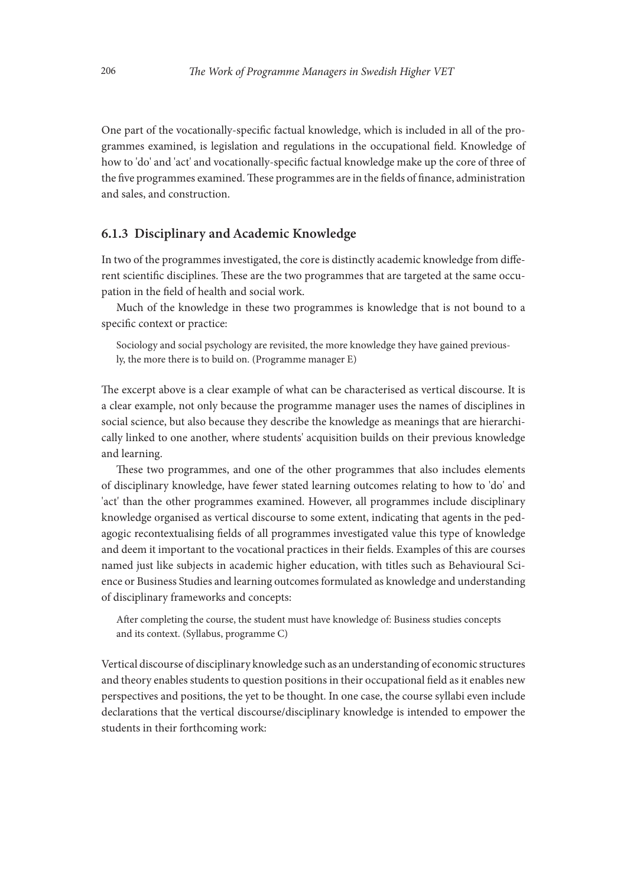One part of the vocationally-specific factual knowledge, which is included in all of the programmes examined, is legislation and regulations in the occupational field. Knowledge of how to 'do' and 'act' and vocationally-specific factual knowledge make up the core of three of the five programmes examined. These programmes are in the fields of finance, administration and sales, and construction.

### 6.1.3 Disciplinary and Academic Knowledge

In two of the programmes investigated, the core is distinctly academic knowledge from different scientific disciplines. These are the two programmes that are targeted at the same occupation in the field of health and social work.

Much of the knowledge in these two programmes is knowledge that is not bound to a specific context or practice:

Sociology and social psychology are revisited, the more knowledge they have gained previously, the more there is to build on. (Programme manager E)

The excerpt above is a clear example of what can be characterised as vertical discourse. It is a clear example, not only because the programme manager uses the names of disciplines in social science, but also because they describe the knowledge as meanings that are hierarchically linked to one another, where students' acquisition builds on their previous knowledge and learning.

These two programmes, and one of the other programmes that also includes elements of disciplinary knowledge, have fewer stated learning outcomes relating to how to 'do' and 'act' than the other programmes examined. However, all programmes include disciplinary knowledge organised as vertical discourse to some extent, indicating that agents in the pedagogic recontextualising fields of all programmes investigated value this type of knowledge and deem it important to the vocational practices in their fields. Examples of this are courses named just like subjects in academic higher education, with titles such as Behavioural Science or Business Studies and learning outcomes formulated as knowledge and understanding of disciplinary frameworks and concepts:

After completing the course, the student must have knowledge of: Business studies concepts and its context. (Syllabus, programme C)

Vertical discourse of disciplinary knowledge such as an understanding of economic structures and theory enables students to question positions in their occupational field as it enables new perspectives and positions, the yet to be thought. In one case, the course syllabi even include declarations that the vertical discourse/disciplinary knowledge is intended to empower the students in their forthcoming work: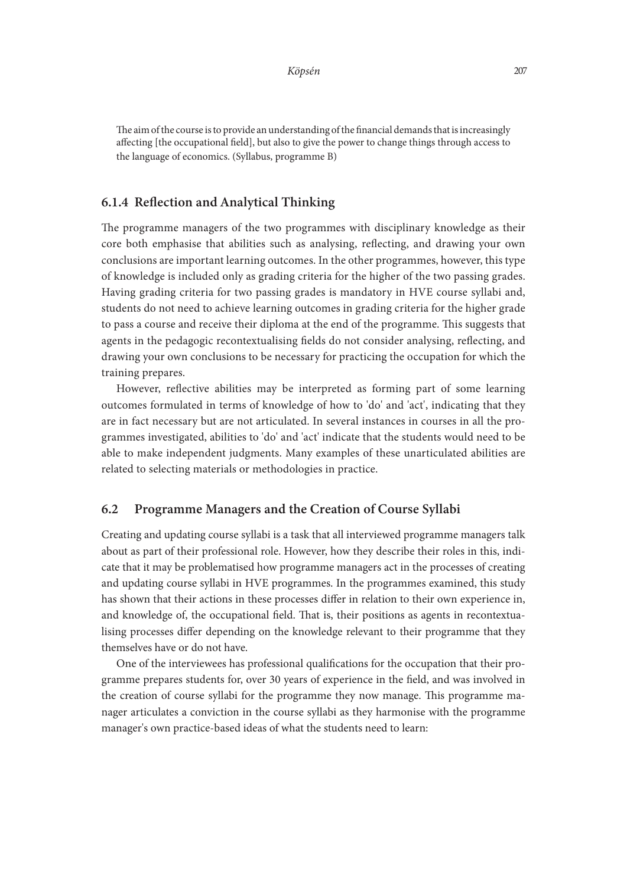The aim of the course is to provide an understanding of the financial demands that is increasingly affecting [the occupational field], but also to give the power to change things through access to the language of economics. (Syllabus, programme B)

## 6.1.4 Reflection and Analytical Thinking

The programme managers of the two programmes with disciplinary knowledge as their core both emphasise that abilities such as analysing, reflecting, and drawing your own conclusions are important learning outcomes. In the other programmes, however, this type of knowledge is included only as grading criteria for the higher of the two passing grades. Having grading criteria for two passing grades is mandatory in HVE course syllabi and, students do not need to achieve learning outcomes in grading criteria for the higher grade to pass a course and receive their diploma at the end of the programme. This suggests that agents in the pedagogic recontextualising fields do not consider analysing, reflecting, and drawing your own conclusions to be necessary for practicing the occupation for which the training prepares.

However, reflective abilities may be interpreted as forming part of some learning outcomes formulated in terms of knowledge of how to 'do' and 'act', indicating that they are in fact necessary but are not articulated. In several instances in courses in all the programmes investigated, abilities to 'do' and 'act' indicate that the students would need to be able to make independent judgments. Many examples of these unarticulated abilities are related to selecting materials or methodologies in practice.

## 6.2 Programme Managers and the Creation of Course Syllabi

Creating and updating course syllabi is a task that all interviewed programme managers talk about as part of their professional role. However, how they describe their roles in this, indicate that it may be problematised how programme managers act in the processes of creating and updating course syllabi in HVE programmes. In the programmes examined, this study has shown that their actions in these processes differ in relation to their own experience in, and knowledge of, the occupational field. That is, their positions as agents in recontextualising processes differ depending on the knowledge relevant to their programme that they themselves have or do not have.

One of the interviewees has professional qualifications for the occupation that their programme prepares students for, over 30 years of experience in the field, and was involved in the creation of course syllabi for the programme they now manage. This programme manager articulates a conviction in the course syllabi as they harmonise with the programme manager's own practice-based ideas of what the students need to learn: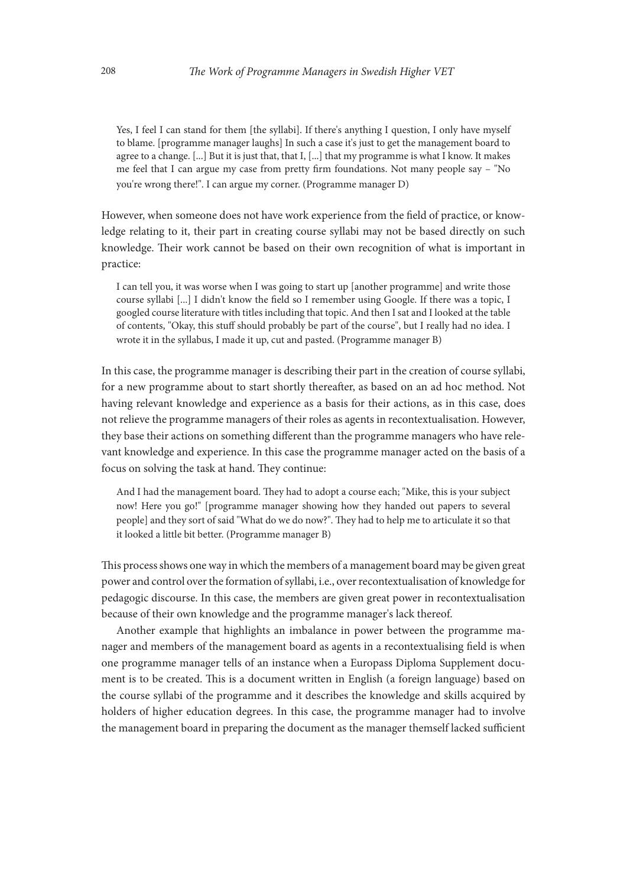Yes, I feel I can stand for them [the syllabi]. If there's anything I question, I only have myself to blame. [programme manager laughs] In such a case it's just to get the management board to agree to a change. [...] But it is just that, that I, [...] that my programme is what I know. It makes me feel that I can argue my case from pretty firm foundations. Not many people say – "No you're wrong there!". I can argue my corner. (Programme manager D)

However, when someone does not have work experience from the field of practice, or knowledge relating to it, their part in creating course syllabi may not be based directly on such knowledge. Their work cannot be based on their own recognition of what is important in practice:

I can tell you, it was worse when I was going to start up [another programme] and write those course syllabi [...] I didn't know the field so I remember using Google. If there was a topic, I googled course literature with titles including that topic. And then I sat and I looked at the table of contents, "Okay, this stuff should probably be part of the course", but I really had no idea. I wrote it in the syllabus, I made it up, cut and pasted. (Programme manager B)

In this case, the programme manager is describing their part in the creation of course syllabi, for a new programme about to start shortly thereafter, as based on an ad hoc method. Not having relevant knowledge and experience as a basis for their actions, as in this case, does not relieve the programme managers of their roles as agents in recontextualisation. However, they base their actions on something different than the programme managers who have relevant knowledge and experience. In this case the programme manager acted on the basis of a focus on solving the task at hand. They continue:

And I had the management board. They had to adopt a course each; "Mike, this is your subject now! Here you go!" [programme manager showing how they handed out papers to several people] and they sort of said "What do we do now?". They had to help me to articulate it so that it looked a little bit better. (Programme manager B)

This process shows one way in which the members of a management board may be given great power and control over the formation of syllabi, i.e., over recontextualisation of knowledge for pedagogic discourse. In this case, the members are given great power in recontextualisation because of their own knowledge and the programme manager's lack thereof.

Another example that highlights an imbalance in power between the programme manager and members of the management board as agents in a recontextualising field is when one programme manager tells of an instance when a Europass Diploma Supplement document is to be created. This is a document written in English (a foreign language) based on the course syllabi of the programme and it describes the knowledge and skills acquired by holders of higher education degrees. In this case, the programme manager had to involve the management board in preparing the document as the manager themself lacked sufficient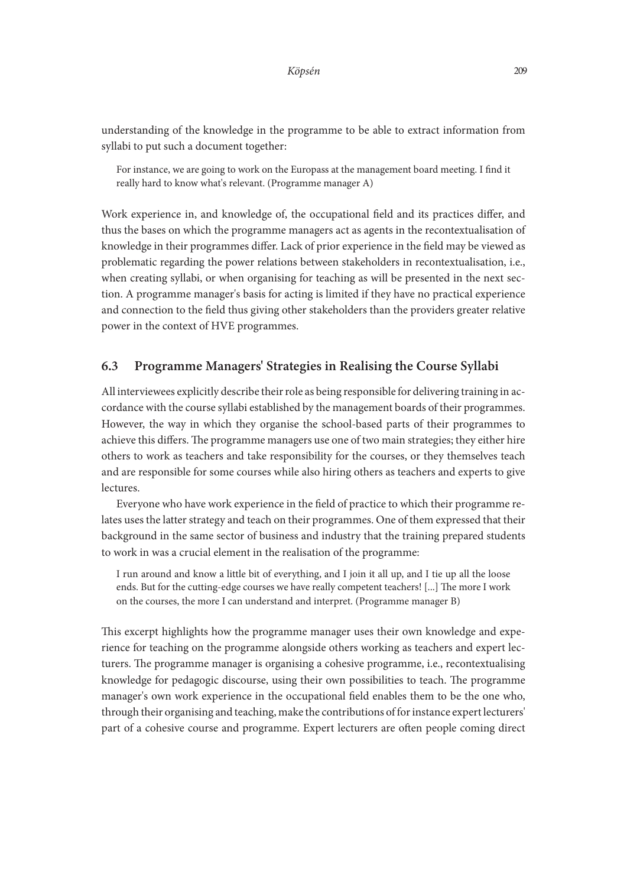understanding of the knowledge in the programme to be able to extract information from syllabi to put such a document together:

For instance, we are going to work on the Europass at the management board meeting. I find it really hard to know what's relevant. (Programme manager A)

Work experience in, and knowledge of, the occupational field and its practices differ, and thus the bases on which the programme managers act as agents in the recontextualisation of knowledge in their programmes differ. Lack of prior experience in the field may be viewed as problematic regarding the power relations between stakeholders in recontextualisation, i.e., when creating syllabi, or when organising for teaching as will be presented in the next section. A programme manager's basis for acting is limited if they have no practical experience and connection to the field thus giving other stakeholders than the providers greater relative power in the context of HVE programmes.

## 6.3 Programme Managers' Strategies in Realising the Course Syllabi

All interviewees explicitly describe their role as being responsible for delivering training in accordance with the course syllabi established by the management boards of their programmes. However, the way in which they organise the school-based parts of their programmes to achieve this differs. The programme managers use one of two main strategies; they either hire others to work as teachers and take responsibility for the courses, or they themselves teach and are responsible for some courses while also hiring others as teachers and experts to give lectures.

Everyone who have work experience in the field of practice to which their programme relates uses the latter strategy and teach on their programmes. One of them expressed that their background in the same sector of business and industry that the training prepared students to work in was a crucial element in the realisation of the programme:

I run around and know a little bit of everything, and I join it all up, and I tie up all the loose ends. But for the cutting-edge courses we have really competent teachers! [...] The more I work on the courses, the more I can understand and interpret. (Programme manager B)

This excerpt highlights how the programme manager uses their own knowledge and experience for teaching on the programme alongside others working as teachers and expert lecturers. The programme manager is organising a cohesive programme, i.e., recontextualising knowledge for pedagogic discourse, using their own possibilities to teach. The programme manager's own work experience in the occupational field enables them to be the one who, through their organising and teaching, make the contributions of for instance expert lecturers' part of a cohesive course and programme. Expert lecturers are often people coming direct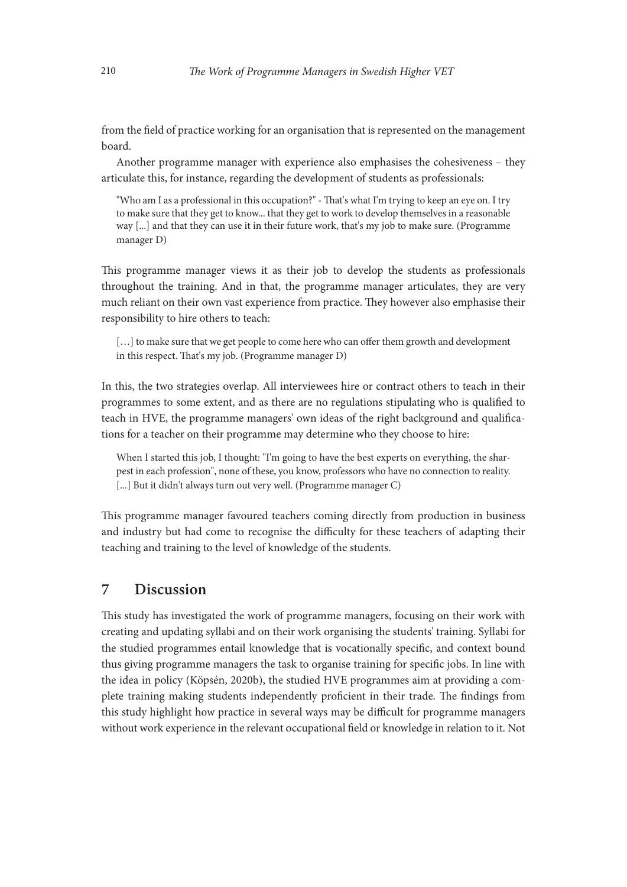from the field of practice working for an organisation that is represented on the management board.

Another programme manager with experience also emphasises the cohesiveness – they articulate this, for instance, regarding the development of students as professionals:

"Who am I as a professional in this occupation?" - That's what I'm trying to keep an eye on. I try to make sure that they get to know... that they get to work to develop themselves in a reasonable way [...] and that they can use it in their future work, that's my job to make sure. (Programme manager D)

This programme manager views it as their job to develop the students as professionals throughout the training. And in that, the programme manager articulates, they are very much reliant on their own vast experience from practice. They however also emphasise their responsibility to hire others to teach:

[...] to make sure that we get people to come here who can offer them growth and development in this respect. That's my job. (Programme manager D)

In this, the two strategies overlap. All interviewees hire or contract others to teach in their programmes to some extent, and as there are no regulations stipulating who is qualified to teach in HVE, the programme managers' own ideas of the right background and qualifications for a teacher on their programme may determine who they choose to hire:

When I started this job, I thought: "I'm going to have the best experts on everything, the sharpest in each profession", none of these, you know, professors who have no connection to reality. [...] But it didn't always turn out very well. (Programme manager C)

This programme manager favoured teachers coming directly from production in business and industry but had come to recognise the difficulty for these teachers of adapting their teaching and training to the level of knowledge of the students.

# 7 Discussion

This study has investigated the work of programme managers, focusing on their work with creating and updating syllabi and on their work organising the students' training. Syllabi for the studied programmes entail knowledge that is vocationally specific, and context bound thus giving programme managers the task to organise training for specific jobs. In line with the idea in policy (Köpsén, 2020b), the studied HVE programmes aim at providing a complete training making students independently proficient in their trade. The findings from this study highlight how practice in several ways may be difficult for programme managers without work experience in the relevant occupational field or knowledge in relation to it. Not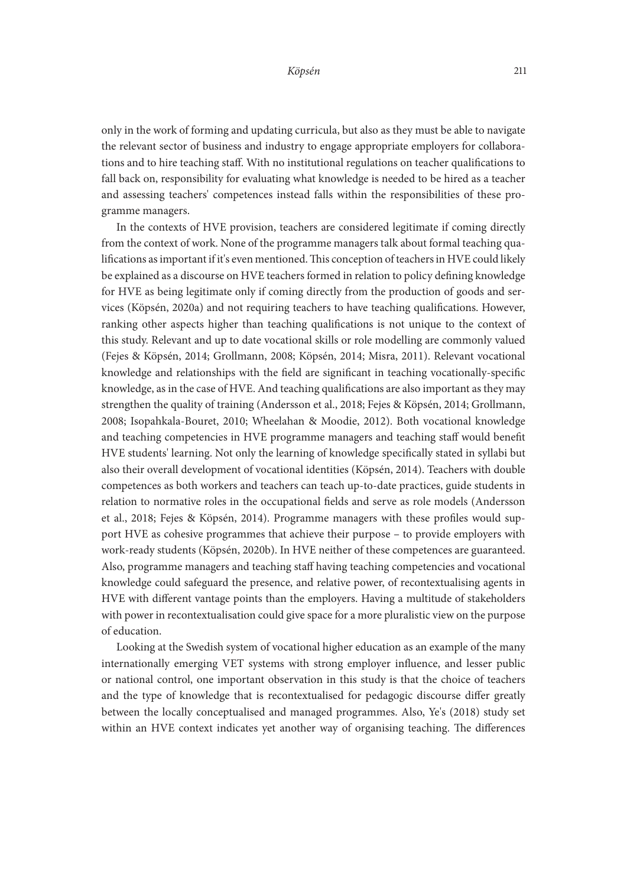only in the work of forming and updating curricula, but also as they must be able to navigate the relevant sector of business and industry to engage appropriate employers for collaborations and to hire teaching staff. With no institutional regulations on teacher qualifications to fall back on, responsibility for evaluating what knowledge is needed to be hired as a teacher and assessing teachers' competences instead falls within the responsibilities of these programme managers.

In the contexts of HVE provision, teachers are considered legitimate if coming directly from the context of work. None of the programme managers talk about formal teaching qualifications as important if it's even mentioned. This conception of teachers in HVE could likely be explained as a discourse on HVE teachers formed in relation to policy defining knowledge for HVE as being legitimate only if coming directly from the production of goods and services (Köpsén, 2020a) and not requiring teachers to have teaching qualifications. However, ranking other aspects higher than teaching qualifications is not unique to the context of this study. Relevant and up to date vocational skills or role modelling are commonly valued (Fejes & Köpsén, 2014; Grollmann, 2008; Köpsén, 2014; Misra, 2011). Relevant vocational knowledge and relationships with the field are significant in teaching vocationally-specific knowledge, as in the case of HVE. And teaching qualifications are also important as they may strengthen the quality of training (Andersson et al., 2018; Fejes & Köpsén, 2014; Grollmann, 2008; Isopahkala-Bouret, 2010; Wheelahan & Moodie, 2012). Both vocational knowledge and teaching competencies in HVE programme managers and teaching staff would benefit HVE students' learning. Not only the learning of knowledge specifically stated in syllabi but also their overall development of vocational identities (Köpsén, 2014). Teachers with double competences as both workers and teachers can teach up-to-date practices, guide students in relation to normative roles in the occupational fields and serve as role models (Andersson et al., 2018; Fejes & Köpsén, 2014). Programme managers with these profiles would support HVE as cohesive programmes that achieve their purpose – to provide employers with work-ready students (Köpsén, 2020b). In HVE neither of these competences are guaranteed. Also, programme managers and teaching staff having teaching competencies and vocational knowledge could safeguard the presence, and relative power, of recontextualising agents in HVE with different vantage points than the employers. Having a multitude of stakeholders with power in recontextualisation could give space for a more pluralistic view on the purpose of education.

Looking at the Swedish system of vocational higher education as an example of the many internationally emerging VET systems with strong employer influence, and lesser public or national control, one important observation in this study is that the choice of teachers and the type of knowledge that is recontextualised for pedagogic discourse differ greatly between the locally conceptualised and managed programmes. Also, Ye's (2018) study set within an HVE context indicates yet another way of organising teaching. The differences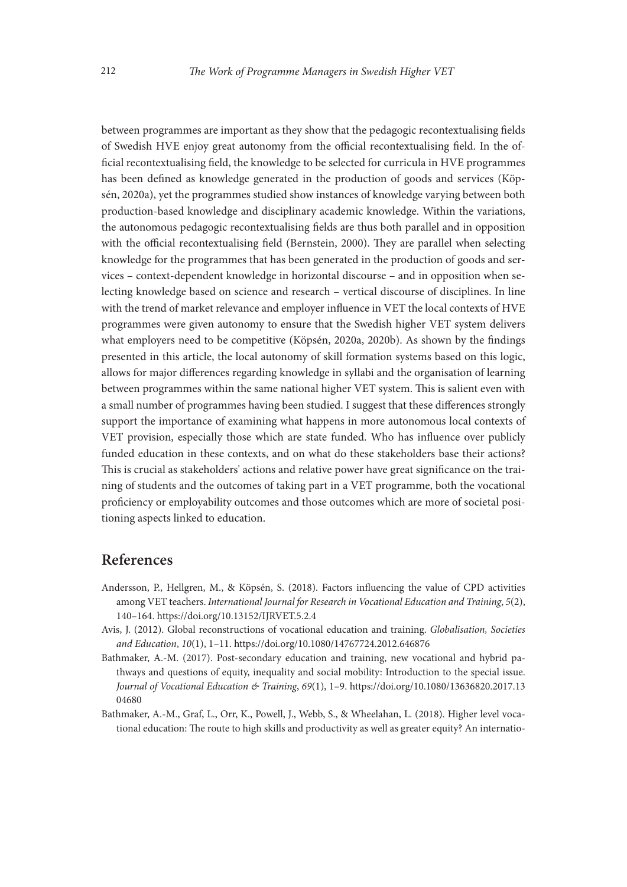between programmes are important as they show that the pedagogic recontextualising fields of Swedish HVE enjoy great autonomy from the official recontextualising field. In the official recontextualising field, the knowledge to be selected for curricula in HVE programmes has been defined as knowledge generated in the production of goods and services (Köpsén, 2020a), yet the programmes studied show instances of knowledge varying between both production-based knowledge and disciplinary academic knowledge. Within the variations, the autonomous pedagogic recontextualising fields are thus both parallel and in opposition with the official recontextualising field (Bernstein, 2000). They are parallel when selecting knowledge for the programmes that has been generated in the production of goods and services – context-dependent knowledge in horizontal discourse – and in opposition when selecting knowledge based on science and research – vertical discourse of disciplines. In line with the trend of market relevance and employer influence in VET the local contexts of HVE programmes were given autonomy to ensure that the Swedish higher VET system delivers what employers need to be competitive (Köpsén, 2020a, 2020b). As shown by the findings presented in this article, the local autonomy of skill formation systems based on this logic, allows for major differences regarding knowledge in syllabi and the organisation of learning between programmes within the same national higher VET system. This is salient even with a small number of programmes having been studied. I suggest that these differences strongly support the importance of examining what happens in more autonomous local contexts of VET provision, especially those which are state funded. Who has influence over publicly funded education in these contexts, and on what do these stakeholders base their actions? This is crucial as stakeholders' actions and relative power have great significance on the training of students and the outcomes of taking part in a VET programme, both the vocational proficiency or employability outcomes and those outcomes which are more of societal positioning aspects linked to education.

# References

- Andersson, P., Hellgren, M., & Köpsén, S. (2018). Factors influencing the value of CPD activities among VET teachers. *International Journal for Research in Vocational Education and Training*, *5*(2), 140–164. https://doi.org/10.13152/IJRVET.5.2.4
- Avis, J. (2012). Global reconstructions of vocational education and training. *Globalisation, Societies and Education*, *10*(1), 1–11. https://doi.org/10.1080/14767724.2012.646876
- Bathmaker, A.-M. (2017). Post-secondary education and training, new vocational and hybrid pathways and questions of equity, inequality and social mobility: Introduction to the special issue. *Journal of Vocational Education & Training*, *69*(1), 1–9. [https://doi.org/10.1080/13636820.2017.13](https://doi.org/10.1080/13636820.2017.1304680) [04680](https://doi.org/10.1080/13636820.2017.1304680)
- Bathmaker, A.-M., Graf, L., Orr, K., Powell, J., Webb, S., & Wheelahan, L. (2018). Higher level vocational education: The route to high skills and productivity as well as greater equity? An internatio-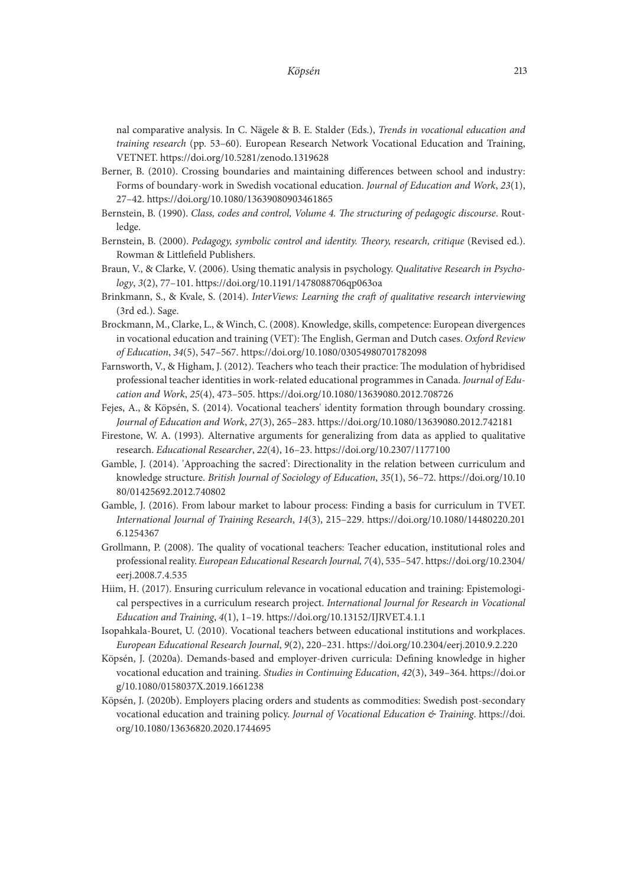nal comparative analysis. In C. Nägele & B. E. Stalder (Eds.), *Trends in vocational education and training research* (pp. 53–60). European Research Network Vocational Education and Training, VETNET. https://doi.org/10.5281/zenodo.1319628

- Berner, B. (2010). Crossing boundaries and maintaining differences between school and industry: Forms of boundary-work in Swedish vocational education. *Journal of Education and Work*, *23*(1), 27–42. https://doi.org/10.1080/13639080903461865
- Bernstein, B. (1990). *Class, codes and control, Volume 4. The structuring of pedagogic discourse*. Routledge.
- Bernstein, B. (2000). *Pedagogy, symbolic control and identity. Theory, research, critique* (Revised ed.). Rowman & Littlefield Publishers.
- Braun, V., & Clarke, V. (2006). Using thematic analysis in psychology. *Qualitative Research in Psychology*, *3*(2), 77–101. https://doi.org/10.1191/1478088706qp063oa
- Brinkmann, S., & Kvale, S. (2014). *InterViews: Learning the craft of qualitative research interviewing*  (3rd ed.). Sage.
- Brockmann, M., Clarke, L., & Winch, C. (2008). Knowledge, skills, competence: European divergences in vocational education and training (VET): The English, German and Dutch cases. *Oxford Review of Education*, *34*(5), 547–567. https://doi.org/10.1080/03054980701782098
- Farnsworth, V., & Higham, J. (2012). Teachers who teach their practice: The modulation of hybridised professional teacher identities in work-related educational programmes in Canada. *Journal of Education and Work*, *25*(4), 473–505. https://doi.org/10.1080/13639080.2012.708726
- Fejes, A., & Köpsén, S. (2014). Vocational teachers' identity formation through boundary crossing. *Journal of Education and Work*, *27*(3), 265–283. https://doi.org/10.1080/13639080.2012.742181
- Firestone, W. A. (1993). Alternative arguments for generalizing from data as applied to qualitative research. *Educational Researcher*, *22*(4), 16–23. https://doi.org/10.2307/1177100
- Gamble, J. (2014). 'Approaching the sacred': Directionality in the relation between curriculum and knowledge structure. *British Journal of Sociology of Education*, *35*(1), 56–72. [https://doi.org/10.10](https://doi.org/10.1080/01425692.2012.740802) [80/01425692.2012.740802](https://doi.org/10.1080/01425692.2012.740802)
- Gamble, J. (2016). From labour market to labour process: Finding a basis for curriculum in TVET. *International Journal of Training Research*, *14*(3), 215–229. [https://doi.org/10.1080/14480220.201](https://doi.org/10.1080/14480220.2016.1254367) [6.1254367](https://doi.org/10.1080/14480220.2016.1254367)
- Grollmann, P. (2008). The quality of vocational teachers: Teacher education, institutional roles and professional reality. *European Educational Research Journal, 7*(4), 535–547. [https://doi.org/10.2304/](https://doi.org/10.2304/eerj.2008.7.4.535) [eerj.2008.7.4.535](https://doi.org/10.2304/eerj.2008.7.4.535)
- Hiim, H. (2017). Ensuring curriculum relevance in vocational education and training: Epistemological perspectives in a curriculum research project. *International Journal for Research in Vocational Education and Training*, *4*(1), 1–19. https://doi.org/10.13152/IJRVET.4.1.1
- Isopahkala-Bouret, U. (2010). Vocational teachers between educational institutions and workplaces. *European Educational Research Journal*, *9*(2), 220–231. https://doi.org/10.2304/eerj.2010.9.2.220
- Köpsén, J. (2020a). Demands-based and employer-driven curricula: Defining knowledge in higher vocational education and training. *Studies in Continuing Education*, *42*(3), 349–364. [https://doi.or](https://doi.org/10.1080/0158037X.2019.1661238) [g/10.1080/0158037X.2019.1661238](https://doi.org/10.1080/0158037X.2019.1661238)
- Köpsén, J. (2020b). Employers placing orders and students as commodities: Swedish post-secondary vocational education and training policy. *Journal of Vocational Education & Training*. [https://doi.](https://doi.org/10.1080/13636820.2020.1744695) [org/10.1080/13636820.2020.1744695](https://doi.org/10.1080/13636820.2020.1744695)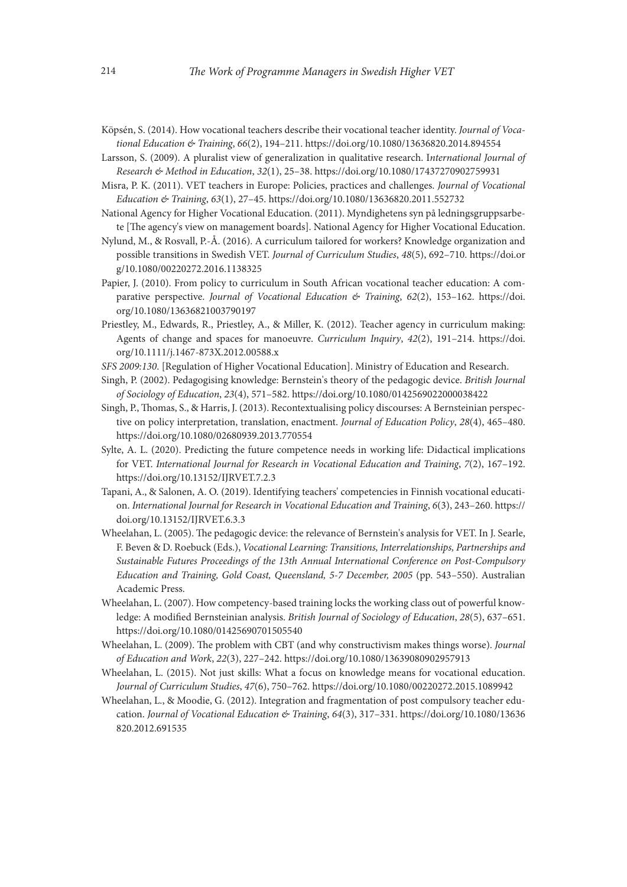- Köpsén, S. (2014). How vocational teachers describe their vocational teacher identity. *Journal of Vocational Education & Training*, *66*(2), 194–211. https://doi.org/10.1080/13636820.2014.894554
- Larsson, S. (2009). A pluralist view of generalization in qualitative research. I*nternational Journal of Research & Method in Education*, *32*(1), 25–38. https://doi.org/10.1080/17437270902759931
- Misra, P. K. (2011). VET teachers in Europe: Policies, practices and challenges. *Journal of Vocational Education & Training*, *63*(1), 27–45. https://doi.org/10.1080/13636820.2011.552732
- National Agency for Higher Vocational Education. (2011). Myndighetens syn på ledningsgruppsarbete [The agency's view on management boards]. National Agency for Higher Vocational Education.
- Nylund, M., & Rosvall, P.-Å. (2016). A curriculum tailored for workers? Knowledge organization and possible transitions in Swedish VET. *Journal of Curriculum Studies*, *48*(5), 692–710. [https://doi.or](https://doi.org/10.1080/00220272.2016.1138325) [g/10.1080/00220272.2016.1138325](https://doi.org/10.1080/00220272.2016.1138325)
- Papier, J. (2010). From policy to curriculum in South African vocational teacher education: A comparative perspective. *Journal of Vocational Education & Training*, *62*(2), 153–162. [https://doi.](https://doi.org/10.1080/13636821003790197) [org/10.1080/13636821003790197](https://doi.org/10.1080/13636821003790197)
- Priestley, M., Edwards, R., Priestley, A., & Miller, K. (2012). Teacher agency in curriculum making: Agents of change and spaces for manoeuvre. *Curriculum Inquiry*, *42*(2), 191–214. [https://doi.](https://doi.org/10.1111/j.1467-873X.2012.00588.x) [org/10.1111/j.1467-873X.2012.00588.x](https://doi.org/10.1111/j.1467-873X.2012.00588.x)
- *SFS 2009:130*. [Regulation of Higher Vocational Education]. Ministry of Education and Research.
- Singh, P. (2002). Pedagogising knowledge: Bernstein's theory of the pedagogic device. *British Journal of Sociology of Education*, *23*(4), 571–582. https://doi.org/10.1080/0142569022000038422
- Singh, P., Thomas, S., & Harris, J. (2013). Recontextualising policy discourses: A Bernsteinian perspective on policy interpretation, translation, enactment. *Journal of Education Policy*, *28*(4), 465–480. https://doi.org/10.1080/02680939.2013.770554
- Sylte, A. L. (2020). Predicting the future competence needs in working life: Didactical implications for VET. *International Journal for Research in Vocational Education and Training*, *7*(2), 167–192. https://doi.org/10.13152/IJRVET.7.2.3
- Tapani, A., & Salonen, A. O. (2019). Identifying teachers' competencies in Finnish vocational education. *International Journal for Research in Vocational Education and Training*, *6*(3), 243–260. https:// doi.org/10.13152/IJRVET.6.3.3
- Wheelahan, L. (2005). The pedagogic device: the relevance of Bernstein's analysis for VET. In J. Searle, F. Beven & D. Roebuck (Eds.), *Vocational Learning: Transitions, Interrelationships, Partnerships and Sustainable Futures Proceedings of the 13th Annual International Conference on Post-Compulsory Education and Training, Gold Coast, Queensland, 5-7 December, 2005* (pp. 543–550). Australian Academic Press.
- Wheelahan, L. (2007). How competency-based training locks the working class out of powerful knowledge: A modified Bernsteinian analysis. *British Journal of Sociology of Education*, *28*(5), 637–651. https://doi.org/10.1080/01425690701505540
- Wheelahan, L. (2009). The problem with CBT (and why constructivism makes things worse). *Journal of Education and Work*, *22*(3), 227–242. https://doi.org/10.1080/13639080902957913
- Wheelahan, L. (2015). Not just skills: What a focus on knowledge means for vocational education. *Journal of Curriculum Studies*, *47*(6), 750–762. https://doi.org/10.1080/00220272.2015.1089942
- Wheelahan, L., & Moodie, G. (2012). Integration and fragmentation of post compulsory teacher education. *Journal of Vocational Education & Training*, *64*(3), 317–331. [https://doi.org/10.1080/13636](https://doi.org/10.1080/13636820.2012.691535) [820.2012.691535](https://doi.org/10.1080/13636820.2012.691535)